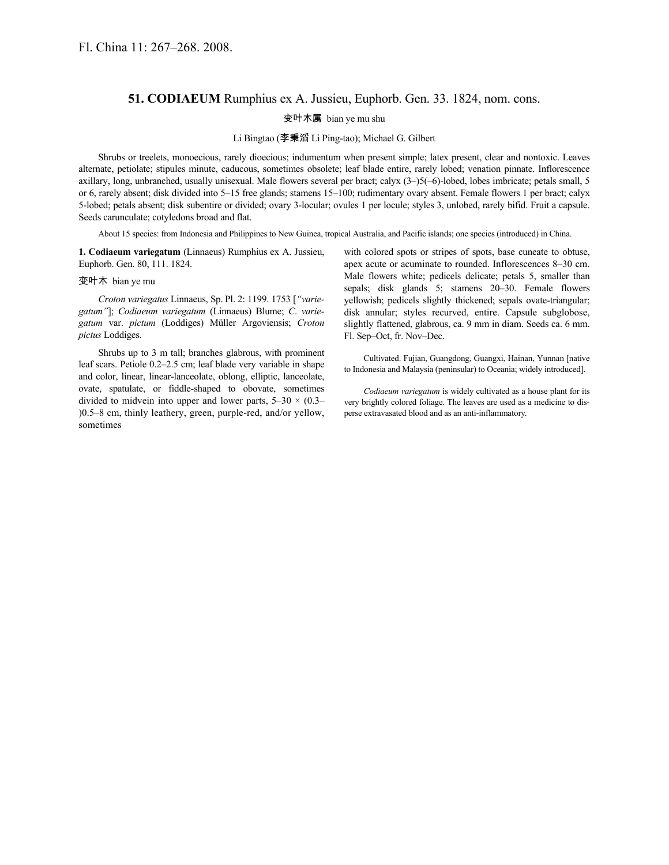## **51. CODIAEUM** Rumphius ex A. Jussieu, Euphorb. Gen. 33. 1824, nom. cons.

## 变叶木属 bian ye mu shu

## Li Bingtao (李秉滔 Li Ping-tao); Michael G. Gilbert

Shrubs or treelets, monoecious, rarely dioecious; indumentum when present simple; latex present, clear and nontoxic. Leaves alternate, petiolate; stipules minute, caducous, sometimes obsolete; leaf blade entire, rarely lobed; venation pinnate. Inflorescence axillary, long, unbranched, usually unisexual. Male flowers several per bract; calyx (3–)5(–6)-lobed, lobes imbricate; petals small, 5 or 6, rarely absent; disk divided into 5–15 free glands; stamens 15–100; rudimentary ovary absent. Female flowers 1 per bract; calyx 5-lobed; petals absent; disk subentire or divided; ovary 3-locular; ovules 1 per locule; styles 3, unlobed, rarely bifid. Fruit a capsule. Seeds carunculate; cotyledons broad and flat.

About 15 species: from Indonesia and Philippines to New Guinea, tropical Australia, and Pacific islands; one species (introduced) in China.

**1. Codiaeum variegatum** (Linnaeus) Rumphius ex A. Jussieu, Euphorb. Gen. 80, 111. 1824.

## 变叶木 bian ye mu

*Croton variegatus* Linnaeus, Sp. Pl. 2: 1199. 1753 [*"variegatum"*]; *Codiaeum variegatum* (Linnaeus) Blume; *C*. *variegatum* var. *pictum* (Loddiges) Müller Argoviensis; *Croton pictus* Loddiges.

Shrubs up to 3 m tall; branches glabrous, with prominent leaf scars. Petiole 0.2–2.5 cm; leaf blade very variable in shape and color, linear, linear-lanceolate, oblong, elliptic, lanceolate, ovate, spatulate, or fiddle-shaped to obovate, sometimes divided to midvein into upper and lower parts,  $5-30 \times (0.3-$ )0.5–8 cm, thinly leathery, green, purple-red, and/or yellow, sometimes

with colored spots or stripes of spots, base cuneate to obtuse, apex acute or acuminate to rounded. Inflorescences 8–30 cm. Male flowers white; pedicels delicate; petals 5, smaller than sepals; disk glands 5; stamens 20–30. Female flowers yellowish; pedicels slightly thickened; sepals ovate-triangular; disk annular; styles recurved, entire. Capsule subglobose, slightly flattened, glabrous, ca. 9 mm in diam. Seeds ca. 6 mm. Fl. Sep–Oct, fr. Nov–Dec.

Cultivated. Fujian, Guangdong, Guangxi, Hainan, Yunnan [native to Indonesia and Malaysia (peninsular) to Oceania; widely introduced].

*Codiaeum variegatum* is widely cultivated as a house plant for its very brightly colored foliage. The leaves are used as a medicine to disperse extravasated blood and as an anti-inflammatory.